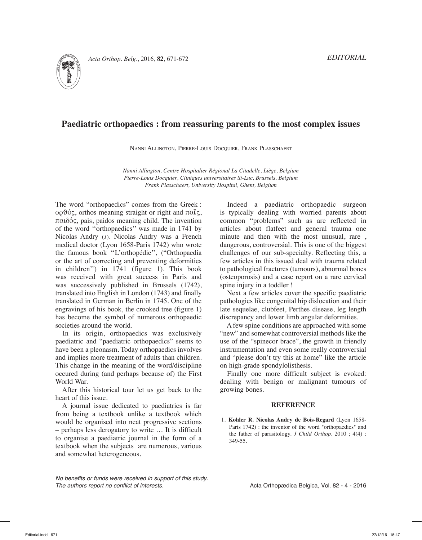

### **Paediatric orthopaedics : from reassuring parents to the most complex issues**

Nanni Allington, Pierre-Louis Docquier, Frank Plasschaert

*Nanni Allington, Centre Hospitalier Régional La Citadelle, Liège, Belgium Pierre-Louis Docquier, Cliniques universitaires St-Luc, Brussels, Belgium Frank Plasschaert, University Hospital, Ghent, Belgium*

The word "orthopaedics" comes from the Greek : ορθός, orthos meaning straight or right and  $πα''$ ς, παιδός, pais, paidos meaning child. The invention of the word ''orthopaedics'' was made in 1741 by Nicolas Andry (*1*). Nicolas Andry was a French medical doctor (Lyon 1658-Paris 1742) who wrote the famous book ''L'orthopédie'', ("Orthopaedia or the art of correcting and preventing deformities in children'') in 1741 (figure 1). This book was received with great success in Paris and was successively published in Brussels (1742), translated into English in London (1743) and finally translated in German in Berlin in 1745. One of the engravings of his book, the crooked tree (figure 1) has become the symbol of numerous orthopaedic societies around the world.

In its origin, orthopaedics was exclusively paediatric and "paediatric orthopaedics" seems to have been a pleonasm. Today orthopaedics involves and implies more treatment of adults than children. This change in the meaning of the word/discipline occured during (and perhaps because of) the First World War.

After this historical tour let us get back to the heart of this issue.

A journal issue dedicated to paediatrics is far from being a textbook unlike a textbook which would be organised into neat progressive sections – perhaps less derogatory to write … It is difficult to organise a paediatric journal in the form of a textbook when the subjects are numerous, various and somewhat heterogeneous.

*No benefits or funds were received in support of this study. The authors report no conflict of interests.* 

Indeed a paediatric orthopaedic surgeon is typically dealing with worried parents about common "problems" such as are reflected in articles about flatfeet and general trauma one minute and then with the most unusual, rare , dangerous, controversial. This is one of the biggest challenges of our sub-specialty. Reflecting this, a few articles in this issued deal with trauma related to pathological fractures (tumours), abnormal bones (osteoporosis) and a case report on a rare cervical spine injury in a toddler !

Next a few articles cover the specific paediatric pathologies like congenital hip dislocation and their late sequelae, clubfeet, Perthes disease, leg length discrepancy and lower limb angular deformities.

A few spine conditions are approached with some "new" and somewhat controversial methods like the use of the "spinecor brace", the growth in friendly instrumentation and even some really controversial and "please don't try this at home" like the article on high-grade spondylolisthesis.

Finally one more difficult subject is evoked: dealing with benign or malignant tumours of growing bones.

#### **REFERENCE**

1. **Kohler R. Nicolas Andry de Bois-Regard** (Lyon 1658- Paris 1742) : the inventor of the word "orthopaedics" and the father of parasitology. *J Child Orthop*. 2010 ; 4(4) : 349-55.

Acta Orthopædica Belgica, Vol. 82 - 4 - 2016